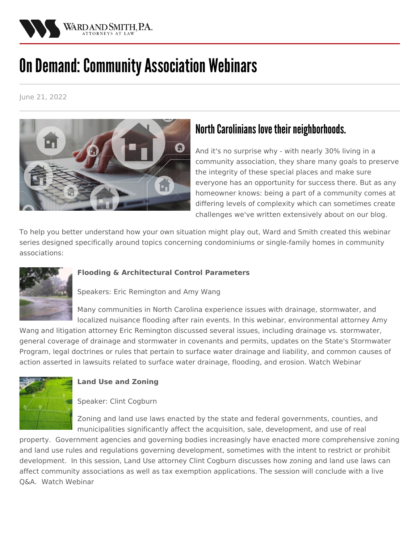

# **On Demand: Community Association Webinars**

June 21, 2022



# North Carolinians love their neighborhoods.

And it's no surprise why - with nearly 30% living in a community association, they share many goals to preserve the integrity of these special places and make sure everyone has an opportunity for success there. But as any homeowner knows: being a part of a community comes at differing levels of complexity which can sometimes create challenges we've written extensively about on our blog.

To help you better understand how your own situation might play out, Ward and Smith created this webinar series designed specifically around topics concerning condominiums or single-family homes in community associations:



#### **Flooding & Architectural Control Parameters**

Speakers: Eric [Remington](https://protect-us.mimecast.com/s/rEDHCOYZpkCAkj2ETknXUh?domain=info.wardandsmith.com) and Amy [Wang](https://protect-us.mimecast.com/s/n0F2CNk8ojtNp8MwH4PlCH?domain=info.wardandsmith.com)

Many communities in North Carolina experience issues with drainage, stormwater, and localized nuisance flooding after rain events. In this webinar, [environmental](https://protect-us.mimecast.com/s/n0F2CNk8ojtNp8MwH4PlCH?domain=info.wardandsmith.com) attorney Amy

Wang and litigation attorney Eric [Remington](https://protect-us.mimecast.com/s/rEDHCOYZpkCAkj2ETknXUh?domain=info.wardandsmith.com) discussed several issues, including drainage vs. stormwater, general coverage of drainage and stormwater in covenants and permits, updates on the State's Stormwater Program, legal doctrines or rules that pertain to surface water drainage and liability, and common causes of action asserted in lawsuits related to surface water drainage, flooding, and erosion. Watch [Webinar](https://youtu.be/9AmfE_kkyb0)



# **Land Use and Zoning**

#### Speaker: Clint [Cogburn](/attorneys/clinton-cogburn)

Zoning and land use laws enacted by the state and federal governments, counties, and municipalities significantly affect the acquisition, sale, development, and use of real

property. Government agencies and governing bodies increasingly have enacted more comprehensive zoning and land use rules and regulations governing development, sometimes with the intent to restrict or prohibit development. In this session, Land Use attorney Clint [Cogburn](/attorneys/clinton-cogburn) discusses how zoning and land use laws can affect community associations as well as tax exemption applications. The session will conclude with a live Q&A. Watch [Webinar](https://youtu.be/T5wGfukQl_4)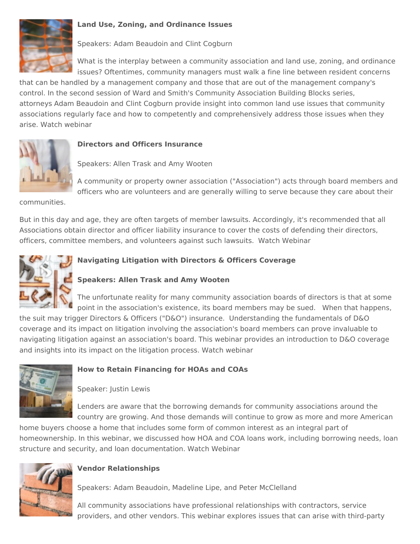

#### **Land Use, Zoning, and Ordinance Issues**

Speakers: Adam [Beaudoin](/attorneys/adam-beaudoin) and Clint [Cogburn](/attorneys/clinton-cogburn)

What is the interplay between a community association and land use, zoning, and ordinance issues? Oftentimes, community managers must walk a fine line between resident concerns

that can be handled by a management company and those that are out of the management company's control. In the second session of Ward and Smith's Community Association Building Blocks series, attorneys Adam [Beaudoin](/attorneys/adam-beaudoin) and Clint [Cogburn](/attorneys/clinton-cogburn) provide insight into common land use issues that community associations regularly face and how to competently and comprehensively address those issues when they arise. Watch [webinar](https://youtu.be/jX0E2HtF5dU)

#### **Directors and Officers Insurance**

Speakers: Allen [Trask](/attorneys/allen-trask) and Amy [Wooten](/attorneys/amy-wooten)

A community or property owner association ("Association") acts through board members and officers who are volunteers and are generally willing to serve because they care about their

communities.

But in this day and age, they are often targets of member lawsuits. Accordingly, it's recommended that all Associations obtain director and officer liability insurance to cover the costs of defending their directors, officers, committee members, and volunteers against such lawsuits. Watch [Webinar](https://www.youtube.com/watch?v=gDetKupkPT8)



# **Navigating Litigation with Directors & Officers Coverage**

# **Speakers: Allen [Trask](/attorneys/allen-trask) and Amy [Wooten](/attorneys/amy-wooten)**

The unfortunate reality for many community association boards of directors is that at some point in the association's existence, its board members may be sued. When that happens,

the suit may trigger Directors & Officers ("D&O") insurance. Understanding the fundamentals of D&O coverage and its impact on litigation involving the association's board members can prove invaluable to navigating litigation against an association's board. This webinar provides an introduction to D&O coverage and insights into its impact on the litigation process. Watch [webinar](https://www.youtube.com/watch?v=xplDoaoe-Gc&feature=youtu.be)



#### **How to Retain Financing for HOAs and COAs**

Speaker: [Justin](https://protect-us.mimecast.com/s/IxYbC9r2vBsm397lIEkbow?domain=info.wardandsmith.com) Lewis

Lenders are aware that the borrowing demands for community associations around the country are growing. And those demands will continue to grow as more and more American

home buyers choose a home that includes some form of common interest as an integral part of homeownership. In this webinar, we discussed how HOA and COA loans work, including borrowing needs, loan structure and security, and loan documentation. Watch [Webinar](https://www.youtube.com/watch?v=rMLyy6DqvfU)



# **Vendor Relationships**

Speakers: Adam [Beaudoin](/attorneys/adam-beaudoin), [Madeline](/attorneys/madeline-lipe) Lipe, and Peter [McClelland](/attorneys/peter-mcclelland)

All community associations have professional relationships with contractors, service providers, and other vendors. This webinar explores issues that can arise with third-party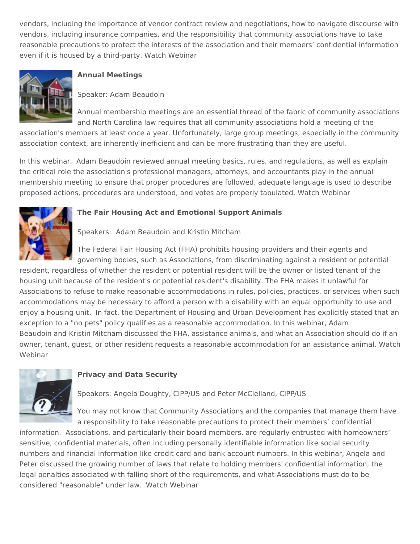vendors, including the importance of vendor contract review and negotiations, how to navigate discourse with vendors, including insurance companies, and the responsibility that community associations have to take reasonable precautions to protect the interests of the association and their members' confidential information even if it is housed by a third-party. Watch [Webinar](https://www.youtube.com/watch?v=ZO4sWM9MgNw)



#### **Annual Meetings**

Speaker: Adam [Beaudoin](/attorneys/adam-beaudoin)

Annual membership meetings are an essential thread of the fabric of community associations and North Carolina law requires that all community associations hold a meeting of the

association's members at least once a year. Unfortunately, large group meetings, especially in the community association context, are inherently inefficient and can be more frustrating than they are useful.

In this webinar, Adam [Beaudoin](https://protect-us.mimecast.com/s/sWVVC5yWoxf0YNMZTOo1-Z?domain=info.wardandsmith.com) reviewed annual meeting basics, rules, and regulations, as well as explain the critical role the association's professional managers, attorneys, and accountants play in the annual membership meeting to ensure that proper procedures are followed, adequate language is used to describe proposed actions, procedures are understood, and votes are properly tabulated. Watch [Webinar](https://youtu.be/Mq-QbB4B3s8)



#### **The Fair Housing Act and Emotional Support Animals**

Speakers: Adam [Beaudoin](/attorneys/adam-beaudoin) and Kristin [Mitcham](/attorneys/kristin-mitcham)

The Federal Fair Housing Act (FHA) prohibits housing providers and their agents and governing bodies, such as Associations, from discriminating against a resident or potential

resident, regardless of whether the resident or potential resident will be the owner or listed tenant of the housing unit because of the resident's or potential resident's disability. The FHA makes it unlawful for Associations to refuse to make reasonable accommodations in rules, policies, practices, or services when such accommodations may be necessary to afford a person with a disability with an equal opportunity to use and enjoy a housing unit. In fact, the Department of Housing and Urban Development has explicitly stated that an exception to a "no pets" policy qualifies as a reasonable [accommodation.](/attorneys/adam-beaudoin) In this webinar, Adam Beaudoin and Kristin [Mitcham](/attorneys/kristin-mitcham) discussed the FHA, assistance animals, and what an Association should do if an owner, tenant, guest, or other resident requests a reasonable [accommodation](https://www.youtube.com/watch?v=ysL1rXPGy3c&feature=youtu.be) for an assistance animal. Watch Webinar



#### **Privacy and Data Security**

Speakers: Angela [Doughty,](/attorneys/angela-doughty) CIPP/US and Peter [McClelland,](/attorneys/peter-mcclelland) CIPP/US

You may not know that Community Associations and the companies that manage them have a responsibility to take reasonable precautions to protect their members' confidential

information. Associations, and particularly their board members, are regularly entrusted with homeowners' sensitive, confidential materials, often including personally identifiable information like social security numbers and financial information like credit card and bank account numbers. In this webinar, Angela and Peter discussed the growing number of laws that relate to holding members' confidential information, the legal penalties associated with falling short of the requirements, and what Associations must do to be considered "reasonable" under law. Watch [Webinar](https://youtu.be/510pW8g6sUM)